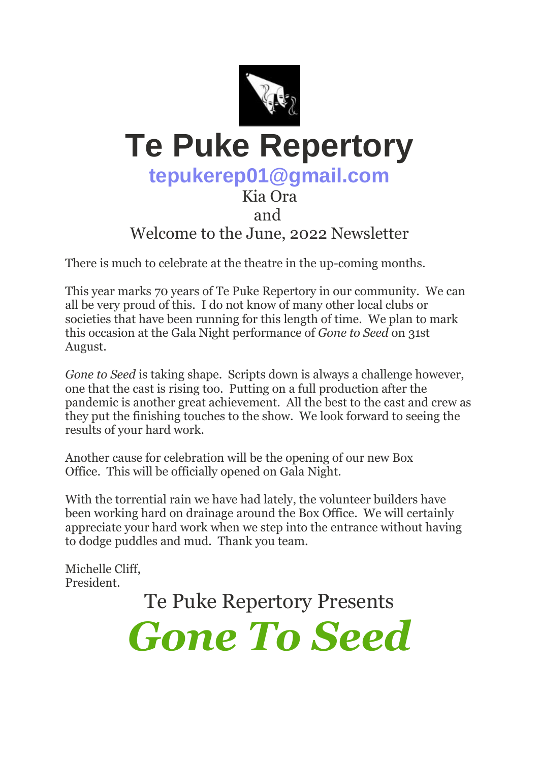

## **Te Puke Repertory**

## **tepukerep01@gmail.com**

#### Kia Ora and

### Welcome to the June, 2022 Newsletter

There is much to celebrate at the theatre in the up-coming months.

This year marks 70 years of Te Puke Repertory in our community. We can all be very proud of this. I do not know of many other local clubs or societies that have been running for this length of time. We plan to mark this occasion at the Gala Night performance of *Gone to Seed* on 31st August.

*Gone to Seed* is taking shape. Scripts down is always a challenge however, one that the cast is rising too. Putting on a full production after the pandemic is another great achievement. All the best to the cast and crew as they put the finishing touches to the show. We look forward to seeing the results of your hard work.

Another cause for celebration will be the opening of our new Box Office. This will be officially opened on Gala Night.

With the torrential rain we have had lately, the volunteer builders have been working hard on drainage around the Box Office. We will certainly appreciate your hard work when we step into the entrance without having to dodge puddles and mud. Thank you team.

Michelle Cliff, President.

Te Puke Repertory Presents

*Gone To Seed*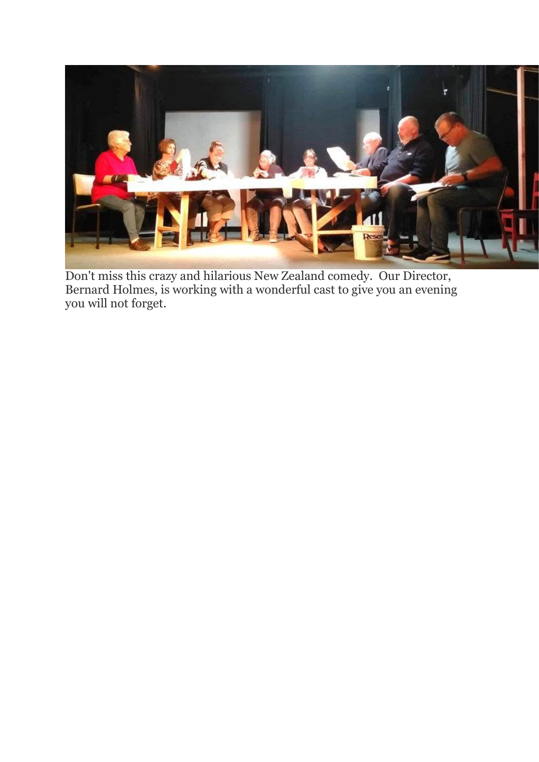

Don't miss this crazy and hilarious New Zealand comedy. Our Director, Bernard Holmes, is working with a wonderful cast to give you an evening you will not forget.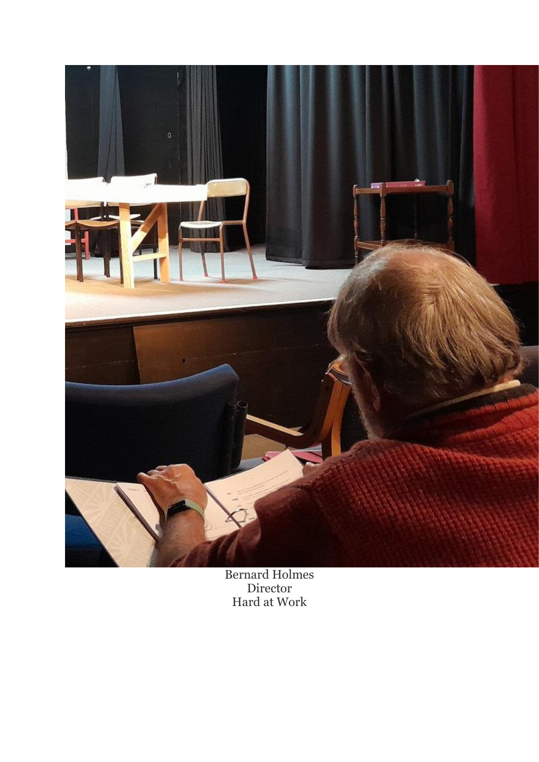

Bernard Holmes Director Hard at Work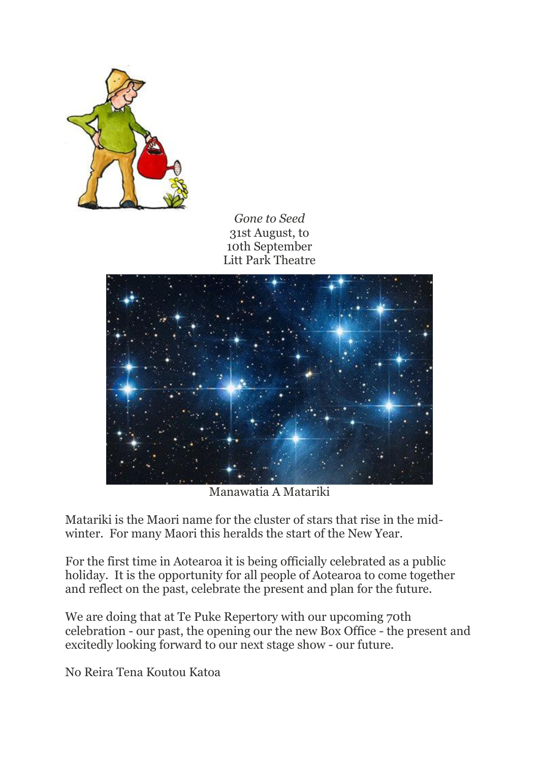

*Gone to Seed* 31st August, to 10th September Litt Park Theatre



Manawatia A Matariki

Matariki is the Maori name for the cluster of stars that rise in the midwinter. For many Maori this heralds the start of the New Year.

For the first time in Aotearoa it is being officially celebrated as a public holiday. It is the opportunity for all people of Aotearoa to come together and reflect on the past, celebrate the present and plan for the future.

We are doing that at Te Puke Repertory with our upcoming 70th celebration - our past, the opening our the new Box Office - the present and excitedly looking forward to our next stage show - our future.

No Reira Tena Koutou Katoa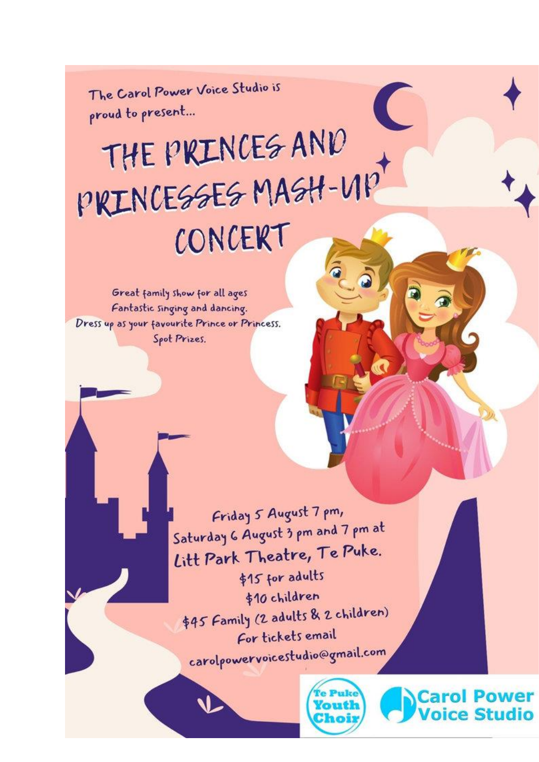The Carol Power Voice Studio is proud to present...

# THE PIRINCES AND PRINCESSES MASH-VIP CONCERT

Great family show for all ages Fantastic singing and dancing. Dress up as your favourite Prince or Princess. Spot Prizes.

> Friday 5 August 7 pm, Saturday 6 August 3 pm and 7 pm at Litt Park Theatre, Te Puke. \$15 for adults \$10 children \$45 Family (2 adults & 2 children) For tickets email carolpowervoicestudio@gmail.com



ol Power **Studio**